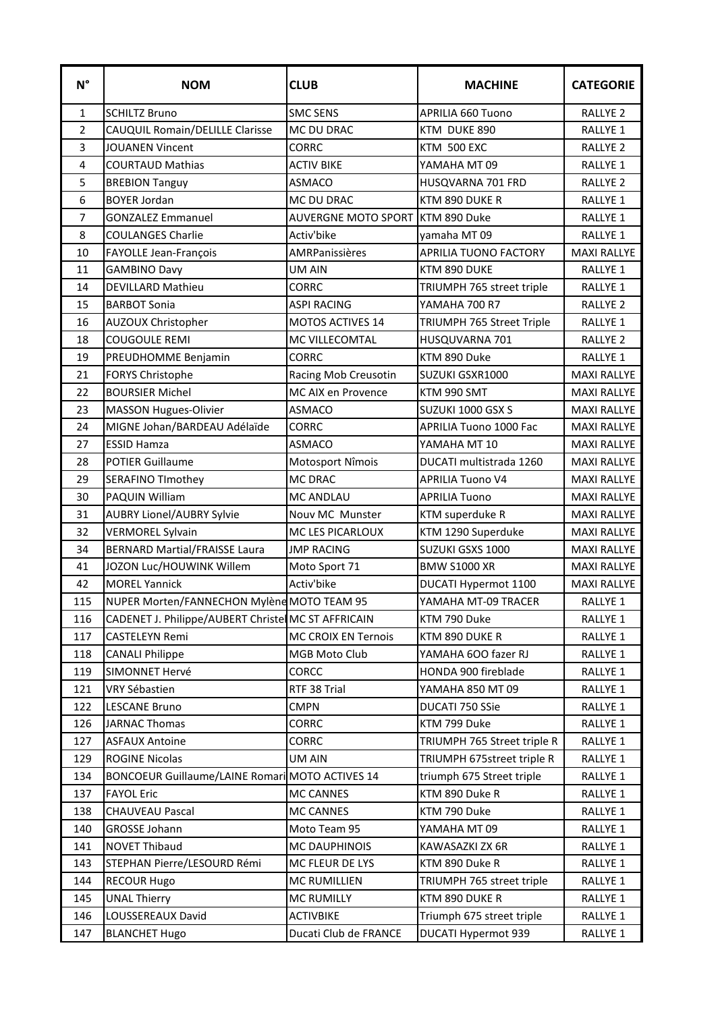| $\textsf{N}^\circ$ | <b>NOM</b>                                          | <b>CLUB</b>                      | <b>MACHINE</b>               | <b>CATEGORIE</b>    |
|--------------------|-----------------------------------------------------|----------------------------------|------------------------------|---------------------|
| $\mathbf{1}$       | <b>SCHILTZ Bruno</b>                                | <b>SMC SENS</b>                  | <b>APRILIA 660 Tuono</b>     | RALLYE <sub>2</sub> |
| $\overline{2}$     | <b>CAUQUIL Romain/DELILLE Clarisse</b>              | MC DU DRAC                       | KTM DUKE 890                 | <b>RALLYE 1</b>     |
| 3                  | <b>JOUANEN Vincent</b>                              | <b>CORRC</b>                     | KTM 500 EXC                  | <b>RALLYE 2</b>     |
| 4                  | <b>COURTAUD Mathias</b>                             | <b>ACTIV BIKE</b>                | YAMAHA MT 09                 | RALLYE 1            |
| 5                  | <b>BREBION Tanguy</b>                               | <b>ASMACO</b>                    | HUSQVARNA 701 FRD            | <b>RALLYE 2</b>     |
| 6                  | <b>BOYER Jordan</b>                                 | MC DU DRAC                       | KTM 890 DUKE R               | RALLYE 1            |
| 7                  | <b>GONZALEZ Emmanuel</b>                            | AUVERGNE MOTO SPORT KTM 890 Duke |                              | RALLYE 1            |
| 8                  | <b>COULANGES Charlie</b>                            | Activ'bike                       | yamaha MT09                  | RALLYE 1            |
| 10                 | FAYOLLE Jean-François                               | AMRPanissières                   | <b>APRILIA TUONO FACTORY</b> | <b>MAXI RALLYE</b>  |
| 11                 | <b>GAMBINO Davy</b>                                 | <b>UM AIN</b>                    | KTM 890 DUKE                 | RALLYE 1            |
| 14                 | <b>DEVILLARD Mathieu</b>                            | <b>CORRC</b>                     | TRIUMPH 765 street triple    | RALLYE 1            |
| 15                 | <b>BARBOT Sonia</b>                                 | <b>ASPI RACING</b>               | <b>YAMAHA 700 R7</b>         | RALLYE <sub>2</sub> |
| 16                 | AUZOUX Christopher                                  | MOTOS ACTIVES 14                 | TRIUMPH 765 Street Triple    | RALLYE 1            |
| 18                 | <b>COUGOULE REMI</b>                                | MC VILLECOMTAL                   | HUSQUVARNA 701               | RALLYE <sub>2</sub> |
| 19                 | PREUDHOMME Benjamin                                 | <b>CORRC</b>                     | KTM 890 Duke                 | RALLYE 1            |
| 21                 | <b>FORYS Christophe</b>                             | Racing Mob Creusotin             | SUZUKI GSXR1000              | <b>MAXI RALLYE</b>  |
| 22                 | <b>BOURSIER Michel</b>                              | MC AIX en Provence               | KTM 990 SMT                  | <b>MAXI RALLYE</b>  |
| 23                 | <b>MASSON Hugues-Olivier</b>                        | <b>ASMACO</b>                    | SUZUKI 1000 GSX S            | <b>MAXI RALLYE</b>  |
| 24                 | MIGNE Johan/BARDEAU Adélaïde                        | <b>CORRC</b>                     | APRILIA Tuono 1000 Fac       | <b>MAXI RALLYE</b>  |
| 27                 | <b>ESSID Hamza</b>                                  | <b>ASMACO</b>                    | YAMAHA MT 10                 | <b>MAXI RALLYE</b>  |
| 28                 | <b>POTIER Guillaume</b>                             | Motosport Nîmois                 | DUCATI multistrada 1260      | <b>MAXI RALLYE</b>  |
| 29                 | <b>SERAFINO TImothey</b>                            | <b>MC DRAC</b>                   | <b>APRILIA Tuono V4</b>      | <b>MAXI RALLYE</b>  |
| 30                 | PAQUIN William                                      | <b>MC ANDLAU</b>                 | <b>APRILIA Tuono</b>         | <b>MAXI RALLYE</b>  |
| 31                 | <b>AUBRY Lionel/AUBRY Sylvie</b>                    | Nouv MC Munster                  | KTM superduke R              | <b>MAXI RALLYE</b>  |
| 32                 | <b>VERMOREL Sylvain</b>                             | MC LES PICARLOUX                 | KTM 1290 Superduke           | <b>MAXI RALLYE</b>  |
| 34                 | <b>BERNARD Martial/FRAISSE Laura</b>                | <b>JMP RACING</b>                | SUZUKI GSXS 1000             | <b>MAXI RALLYE</b>  |
| 41                 | JOZON Luc/HOUWINK Willem                            | Moto Sport 71                    | <b>BMW S1000 XR</b>          | <b>MAXI RALLYE</b>  |
| 42                 | <b>MOREL Yannick</b>                                | Activ'bike                       | DUCATI Hypermot 1100         | <b>MAXI RALLYE</b>  |
| 115                | NUPER Morten/FANNECHON Mylène MOTO TEAM 95          |                                  | YAMAHA MT-09 TRACER          | RALLYE 1            |
| 116                | CADENET J. Philippe/AUBERT Christel MC ST AFFRICAIN |                                  | KTM 790 Duke                 | RALLYE 1            |
| 117                | <b>CASTELEYN Remi</b>                               | MC CROIX EN Ternois              | KTM 890 DUKE R               | RALLYE 1            |
| 118                | <b>CANALI Philippe</b>                              | MGB Moto Club                    | YAMAHA 6OO fazer RJ          | RALLYE 1            |
| 119                | SIMONNET Hervé                                      | <b>CORCC</b>                     | HONDA 900 fireblade          | RALLYE 1            |
| 121                | VRY Sébastien                                       | RTF 38 Trial                     | YAMAHA 850 MT 09             | RALLYE 1            |
| 122                | <b>LESCANE Bruno</b>                                | <b>CMPN</b>                      | DUCATI 750 SSie              | RALLYE 1            |
| 126                | <b>JARNAC Thomas</b>                                | <b>CORRC</b>                     | KTM 799 Duke                 | RALLYE 1            |
| 127                | <b>ASFAUX Antoine</b>                               | CORRC                            | TRIUMPH 765 Street triple R  | RALLYE 1            |
| 129                | <b>ROGINE Nicolas</b>                               | UM AIN                           | TRIUMPH 675street triple R   | RALLYE 1            |
| 134                | BONCOEUR Guillaume/LAINE Romari MOTO ACTIVES 14     |                                  | triumph 675 Street triple    | RALLYE 1            |
| 137                | <b>FAYOL Eric</b>                                   | MC CANNES                        | KTM 890 Duke R               | RALLYE 1            |
| 138                | <b>CHAUVEAU Pascal</b>                              | MC CANNES                        | KTM 790 Duke                 | RALLYE 1            |
| 140                | GROSSE Johann                                       | Moto Team 95                     | YAMAHA MT 09                 | RALLYE 1            |
| 141                | <b>NOVET Thibaud</b>                                | MC DAUPHINOIS                    | KAWASAZKI ZX 6R              | RALLYE 1            |
| 143                | STEPHAN Pierre/LESOURD Rémi                         | MC FLEUR DE LYS                  | KTM 890 Duke R               | RALLYE 1            |
| 144                | <b>RECOUR Hugo</b>                                  | <b>MC RUMILLIEN</b>              | TRIUMPH 765 street triple    | RALLYE 1            |
| 145                | <b>UNAL Thierry</b>                                 | <b>MC RUMILLY</b>                | KTM 890 DUKE R               | RALLYE 1            |
| 146                | LOUSSEREAUX David                                   | <b>ACTIVBIKE</b>                 | Triumph 675 street triple    | RALLYE 1            |
| 147                | <b>BLANCHET Hugo</b>                                | Ducati Club de FRANCE            | DUCATI Hypermot 939          | RALLYE 1            |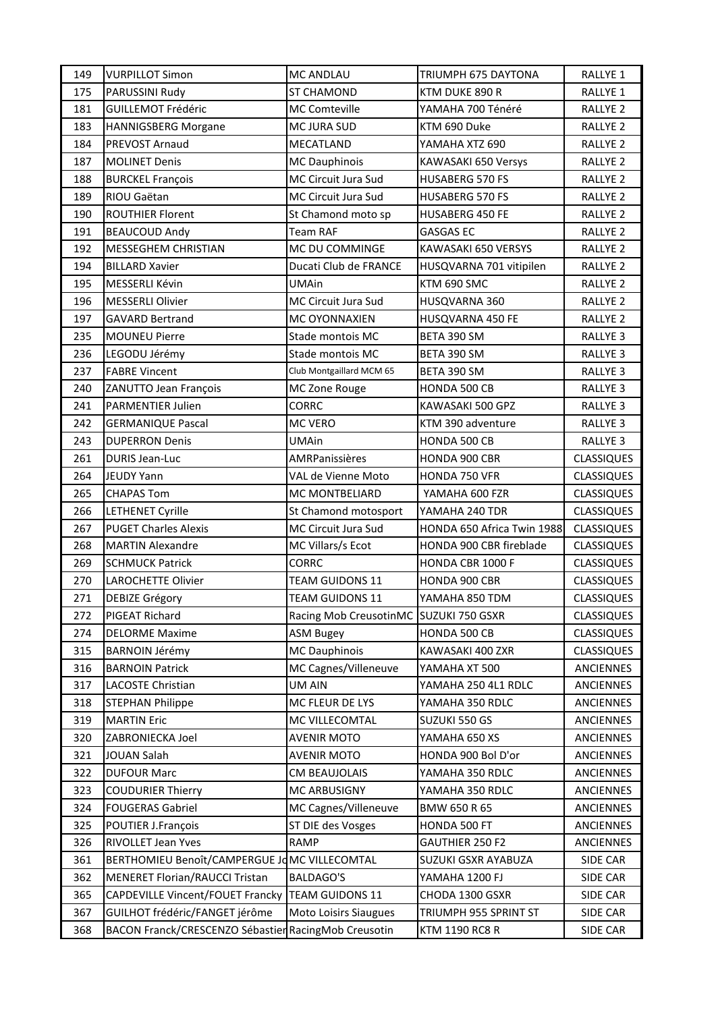| 149 | <b>VURPILLOT Simon</b>                               | <b>MC ANDLAU</b>             | TRIUMPH 675 DAYTONA        | <b>RALLYE 1</b>     |
|-----|------------------------------------------------------|------------------------------|----------------------------|---------------------|
| 175 | PARUSSINI Rudy                                       | ST CHAMOND                   | KTM DUKE 890 R             | RALLYE 1            |
| 181 | <b>GUILLEMOT Frédéric</b>                            | MC Comteville                | YAMAHA 700 Ténéré          | RALLYE <sub>2</sub> |
| 183 | <b>HANNIGSBERG Morgane</b>                           | MC JURA SUD                  | KTM 690 Duke               | RALLYE <sub>2</sub> |
| 184 | PREVOST Arnaud                                       | MECATLAND                    | YAMAHA XTZ 690             | RALLYE <sub>2</sub> |
| 187 | <b>MOLINET Denis</b>                                 | <b>MC Dauphinois</b>         | KAWASAKI 650 Versys        | RALLYE <sub>2</sub> |
| 188 | <b>BURCKEL François</b>                              | MC Circuit Jura Sud          | <b>HUSABERG 570 FS</b>     | RALLYE <sub>2</sub> |
| 189 | RIOU Gaëtan                                          | MC Circuit Jura Sud          | <b>HUSABERG 570 FS</b>     | RALLYE <sub>2</sub> |
| 190 | <b>ROUTHIER Florent</b>                              | St Chamond moto sp           | <b>HUSABERG 450 FE</b>     | <b>RALLYE 2</b>     |
| 191 | <b>BEAUCOUD Andy</b>                                 | <b>Team RAF</b>              | <b>GASGAS EC</b>           | RALLYE <sub>2</sub> |
| 192 | <b>MESSEGHEM CHRISTIAN</b>                           | MC DU COMMINGE               | KAWASAKI 650 VERSYS        | RALLYE <sub>2</sub> |
| 194 | <b>BILLARD Xavier</b>                                | Ducati Club de FRANCE        | HUSQVARNA 701 vitipilen    | RALLYE <sub>2</sub> |
| 195 | MESSERLI Kévin                                       | <b>UMAin</b>                 | KTM 690 SMC                | RALLYE <sub>2</sub> |
| 196 | <b>MESSERLI Olivier</b>                              | MC Circuit Jura Sud          | HUSQVARNA 360              | <b>RALLYE 2</b>     |
| 197 | <b>GAVARD Bertrand</b>                               | MC OYONNAXIEN                | HUSQVARNA 450 FE           | RALLYE <sub>2</sub> |
| 235 | <b>MOUNEU Pierre</b>                                 | Stade montois MC             | BETA 390 SM                | RALLYE <sub>3</sub> |
| 236 | LEGODU Jérémy                                        | Stade montois MC             | BETA 390 SM                | RALLYE <sub>3</sub> |
| 237 | <b>FABRE Vincent</b>                                 | Club Montgaillard MCM 65     | BETA 390 SM                | RALLYE <sub>3</sub> |
| 240 | ZANUTTO Jean François                                | MC Zone Rouge                | HONDA 500 CB               | RALLYE <sub>3</sub> |
| 241 | <b>PARMENTIER Julien</b>                             | <b>CORRC</b>                 | KAWASAKI 500 GPZ           | RALLYE <sub>3</sub> |
| 242 | <b>GERMANIQUE Pascal</b>                             | MC VERO                      | KTM 390 adventure          | RALLYE <sub>3</sub> |
| 243 | <b>DUPERRON Denis</b>                                | <b>UMAin</b>                 | HONDA 500 CB               | RALLYE <sub>3</sub> |
| 261 | <b>DURIS Jean-Luc</b>                                | <b>AMRPanissières</b>        | HONDA 900 CBR              | <b>CLASSIQUES</b>   |
| 264 | <b>JEUDY Yann</b>                                    | VAL de Vienne Moto           | HONDA 750 VFR              | <b>CLASSIQUES</b>   |
| 265 | <b>CHAPAS Tom</b>                                    | MC MONTBELIARD               | YAMAHA 600 FZR             | <b>CLASSIQUES</b>   |
| 266 | <b>LETHENET Cyrille</b>                              | St Chamond motosport         | YAMAHA 240 TDR             | <b>CLASSIQUES</b>   |
| 267 | <b>PUGET Charles Alexis</b>                          | MC Circuit Jura Sud          | HONDA 650 Africa Twin 1988 | <b>CLASSIQUES</b>   |
| 268 | <b>MARTIN Alexandre</b>                              | MC Villars/s Ecot            | HONDA 900 CBR fireblade    | <b>CLASSIQUES</b>   |
| 269 | <b>SCHMUCK Patrick</b>                               | <b>CORRC</b>                 | HONDA CBR 1000 F           | <b>CLASSIQUES</b>   |
| 270 | <b>LAROCHETTE Olivier</b>                            | <b>TEAM GUIDONS 11</b>       | HONDA 900 CBR              | <b>CLASSIQUES</b>   |
| 271 | <b>DEBIZE Grégory</b>                                | <b>TEAM GUIDONS 11</b>       | YAMAHA 850 TDM             | <b>CLASSIQUES</b>   |
| 272 | <b>PIGEAT Richard</b>                                | Racing Mob CreusotinMC       | SUZUKI 750 GSXR            | <b>CLASSIQUES</b>   |
| 274 | <b>DELORME Maxime</b>                                | <b>ASM Bugey</b>             | HONDA 500 CB               | <b>CLASSIQUES</b>   |
| 315 | <b>BARNOIN Jérémy</b>                                | <b>MC Dauphinois</b>         | KAWASAKI 400 ZXR           | <b>CLASSIQUES</b>   |
| 316 | <b>BARNOIN Patrick</b>                               | MC Cagnes/Villeneuve         | YAMAHA XT 500              | <b>ANCIENNES</b>    |
| 317 | LACOSTE Christian                                    | <b>UM AIN</b>                | YAMAHA 250 4L1 RDLC        | ANCIENNES           |
| 318 | <b>STEPHAN Philippe</b>                              | MC FLEUR DE LYS              | YAMAHA 350 RDLC            | <b>ANCIENNES</b>    |
| 319 | <b>MARTIN Eric</b>                                   | MC VILLECOMTAL               | SUZUKI 550 GS              | <b>ANCIENNES</b>    |
| 320 | ZABRONIECKA Joel                                     | <b>AVENIR MOTO</b>           | YAMAHA 650 XS              | <b>ANCIENNES</b>    |
| 321 | <b>JOUAN Salah</b>                                   | <b>AVENIR MOTO</b>           | HONDA 900 Bol D'or         | <b>ANCIENNES</b>    |
| 322 | <b>DUFOUR Marc</b>                                   | CM BEAUJOLAIS                | YAMAHA 350 RDLC            | <b>ANCIENNES</b>    |
| 323 | <b>COUDURIER Thierry</b>                             | MC ARBUSIGNY                 | YAMAHA 350 RDLC            | <b>ANCIENNES</b>    |
| 324 | <b>FOUGERAS Gabriel</b>                              | MC Cagnes/Villeneuve         | BMW 650 R 65               | <b>ANCIENNES</b>    |
| 325 | POUTIER J.François                                   | ST DIE des Vosges            | HONDA 500 FT               | <b>ANCIENNES</b>    |
| 326 | RIVOLLET Jean Yves                                   | <b>RAMP</b>                  | GAUTHIER 250 F2            | <b>ANCIENNES</b>    |
| 361 | BERTHOMIEU Benoît/CAMPERGUE Jo MC VILLECOMTAL        |                              | SUZUKI GSXR AYABUZA        | SIDE CAR            |
| 362 | <b>MENERET Florian/RAUCCI Tristan</b>                | <b>BALDAGO'S</b>             | YAMAHA 1200 FJ             | SIDE CAR            |
| 365 | <b>CAPDEVILLE Vincent/FOUET Francky</b>              | <b>TEAM GUIDONS 11</b>       | CHODA 1300 GSXR            | SIDE CAR            |
| 367 | GUILHOT frédéric/FANGET jérôme                       | <b>Moto Loisirs Siaugues</b> | TRIUMPH 955 SPRINT ST      | SIDE CAR            |
| 368 | BACON Franck/CRESCENZO Sébastier RacingMob Creusotin |                              | KTM 1190 RC8 R             | SIDE CAR            |